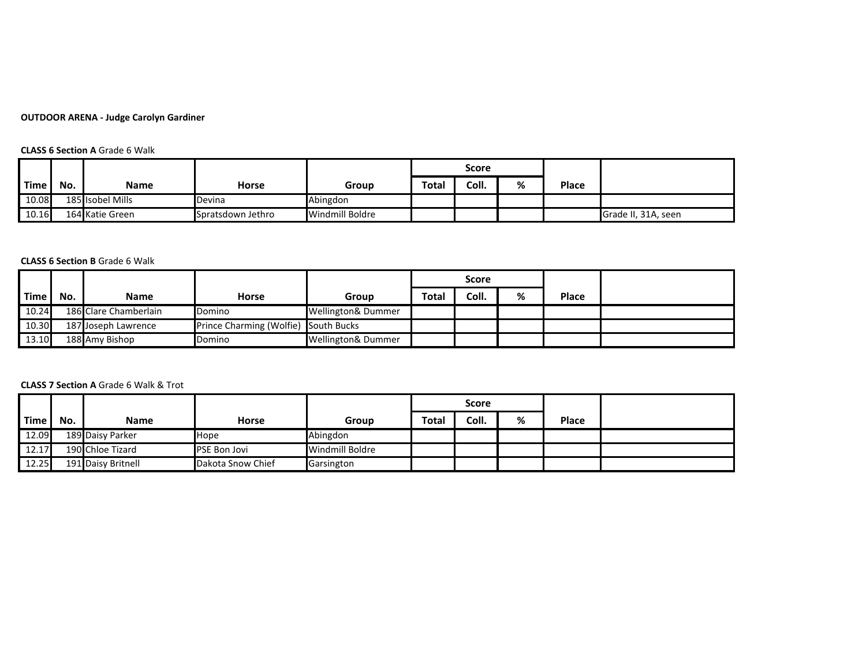# **OUTDOOR ARENA - Judge Carolyn Gardiner**

## **CLASS 6 Section A** Grade 6 Walk

|             |     |                  |                   |                 | Score        |       |   |              |                     |
|-------------|-----|------------------|-------------------|-----------------|--------------|-------|---|--------------|---------------------|
| <b>Time</b> | No. | Name             | <b>Horse</b>      | Group           | <b>Total</b> | Coll. | % | <b>Place</b> |                     |
| 10.08       |     | 185 Isobel Mills | Devina            | Abingdon        |              |       |   |              |                     |
| 10.16       |     | 164 Katie Green  | Spratsdown Jethro | Windmill Boldre |              |       |   |              | Grade II, 31A, seen |

### **CLASS 6 Section B** Grade 6 Walk

|       |     |                       |                                      |                               | Score        |       |   |              |  |
|-------|-----|-----------------------|--------------------------------------|-------------------------------|--------------|-------|---|--------------|--|
| Time. | No. | Name                  | <b>Horse</b>                         | Group                         | <b>Total</b> | Coll. | % | <b>Place</b> |  |
| 10.24 |     | 186 Clare Chamberlain | Domino                               | <b>Wellington&amp; Dummer</b> |              |       |   |              |  |
| 10.30 |     | 187 Joseph Lawrence   | Prince Charming (Wolfie) South Bucks |                               |              |       |   |              |  |
| 13.10 |     | 188 Amy Bishop        | Domino                               | <b>Wellington&amp; Dummer</b> |              |       |   |              |  |

#### **CLASS 7 Section A** Grade 6 Walk & Trot

|       |     |                    |                     |                 |       | Score |   |              |  |
|-------|-----|--------------------|---------------------|-----------------|-------|-------|---|--------------|--|
| Time  | No. | Name               | <b>Horse</b>        | Group           | Total | Coll. | % | <b>Place</b> |  |
| 12.09 |     | 189 Daisy Parker   | <b>Hope</b>         | Abingdon        |       |       |   |              |  |
| 12.17 |     | 190 Chloe Tizard   | <b>PSE Bon Jovi</b> | Windmill Boldre |       |       |   |              |  |
| 12.25 |     | 191 Daisy Britnell | Dakota Snow Chief   | Garsington      |       |       |   |              |  |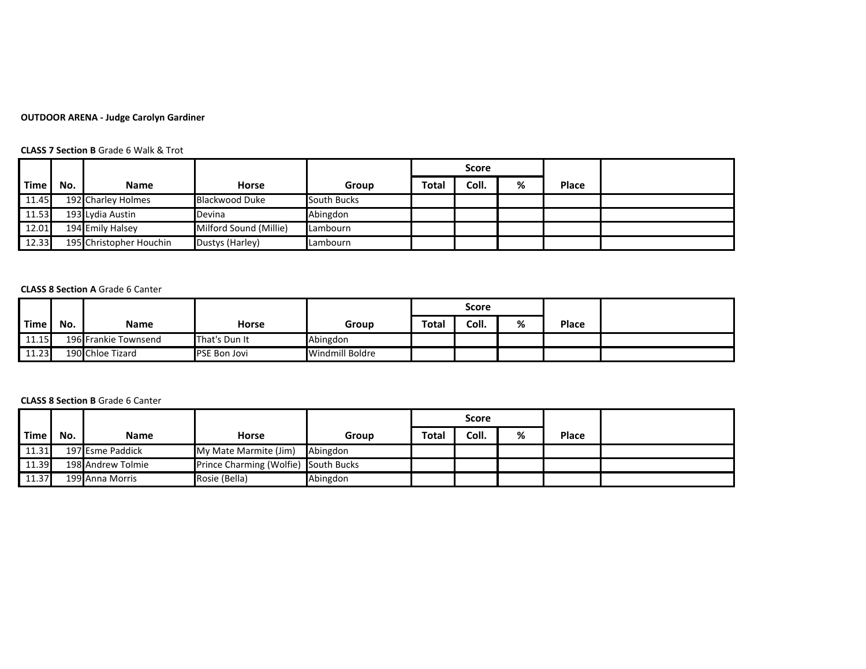# **OUTDOOR ARENA - Judge Carolyn Gardiner**

## **CLASS 7 Section B** Grade 6 Walk & Trot

|             |     |                         |                        |             |       | <b>Score</b> |   |              |  |
|-------------|-----|-------------------------|------------------------|-------------|-------|--------------|---|--------------|--|
| <b>Time</b> | No. | <b>Name</b>             | <b>Horse</b>           | Group       | Total | Coll.        | % | <b>Place</b> |  |
| 11.45       |     | 192 Charley Holmes      | Blackwood Duke         | South Bucks |       |              |   |              |  |
| 11.53       |     | 193 Lydia Austin        | Devina                 | Abingdon    |       |              |   |              |  |
| 12.01       |     | 194 Emily Halsey        | Milford Sound (Millie) | lLambourn   |       |              |   |              |  |
| 12.33       |     | 195 Christopher Houchin | Dustys (Harley)        | lLambourn   |       |              |   |              |  |

#### **CLASS 8 Section A** Grade 6 Canter

|       |     |                      |                     |                 | Score        |       |   |              |  |
|-------|-----|----------------------|---------------------|-----------------|--------------|-------|---|--------------|--|
| Time. | No. | Name                 | <b>Horse</b>        | Group           | <b>Total</b> | Coll. | % | <b>Place</b> |  |
| 11.15 |     | 196 Frankie Townsend | That's Dun It       | Abingdon        |              |       |   |              |  |
| 11.23 |     | 190 Chloe Tizard     | <b>PSE Bon Jovi</b> | Windmill Boldre |              |       |   |              |  |

### **CLASS 8 Section B** Grade 6 Canter

|       |     |                   |                                      |          | <b>Score</b> |       |   |              |  |
|-------|-----|-------------------|--------------------------------------|----------|--------------|-------|---|--------------|--|
| Time. | No. | <b>Name</b>       | Horse                                | Group    | Total        | Coll. | % | <b>Place</b> |  |
| 11.31 |     | 197 Esme Paddick  | My Mate Marmite (Jim)                | Abingdon |              |       |   |              |  |
| 11.39 |     | 198 Andrew Tolmie | Prince Charming (Wolfie) South Bucks |          |              |       |   |              |  |
| 11.37 |     | 199 Anna Morris   | Rosie (Bella)                        | Abingdon |              |       |   |              |  |